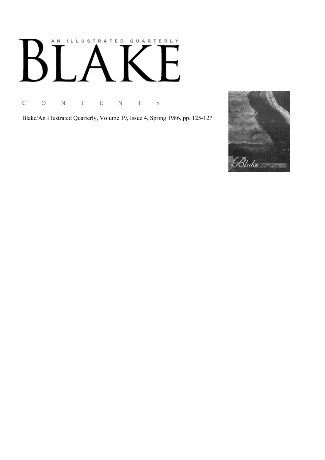# AN ILLUSTRATED QUARTERLY  $\overline{\Gamma}$  $B^{\prime}$  $\lceil$

C O N T E N T S

Blake/An Illustrated Quarterly, Volume 19, Issue 4, Spring 1986, pp. 125-127

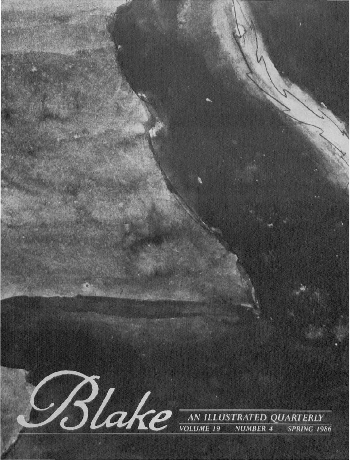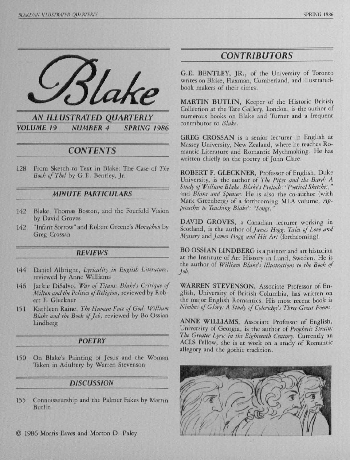

**VOLUME 19 NUMBER 4 SPRING 1986** 

## **CONTENTS**

128 From Sketch to Text in Blake: The Case of The Book of Thel by G.E. Bentley, Jr.

#### **MINUTE PARTICULARS**

- Blake, Thomas Boston, and the Fourfold Vision 142 by David Groves
- "Infant Sorrow" and Robert Greene's Menaphon by 142 **Greg Crossan**

#### **REVIEWS**

- Daniel Albright, Lyricality in English Literature, 144 reviewed by Anne Williams
- 146 Jackie DiSalvo, War of Titans: Blake's Critique of Milton and the Politics of Religion, reviewed by Robert F. Gleckner
- Kathleen Raine, The Human Face of God: William  $151$ Blake and the Book of Job, reviewed by Bo Ossian Lindberg

#### **POETRY**

150 On Blake's Painting of Jesus and the Woman Taken in Adultery by Warren Stevenson

#### **DISCUSSION**

- Connoisseurship and the Palmer Fakes by Martin 155 Butlin
- C 1986 Morris Eaves and Morton D. Paley

## **CONTRIBUTORS**

G.E. BENTLEY, JR., of the University of Toronto writes on Blake, Flaxman, Cumberland, and illustratedbook makers of their times.

MARTIN BUTLIN, Keeper of the Historic British Collection at the Tate Gallery, London, is the author of numerous books on Blake and Turner and a frequent contributor to Blake.

GREG CROSSAN is a senior lecturer in English at Massey University, New Zealand, where he teaches Romantic Literature and Romantic Mythmaking. He has written chiefly on the poetry of John Clare.

ROBERT F. GLECKNER, Professor of English, Duke University, is the author of The Piper and the Bard: A Study of William Blake, Blake's Prelude: "Poetical Sketches," and Blake and Spenser. He is also the co-author (with Mark Greenberg) of a forthcoming MLA volume, Approaches to Teaching Blake's "Songs."

DAVID GROVES, a Canadian lecturer working in Scotland, is the author of James Hogg: Tales of Love and Mystery and James Hogg and His Art (forthcoming).

BO OSSIAN LINDBERG is a painter and art historian at the Institute of Art History in Lund, Sweden. He is the author of William Blake's Illustrations to the Book of Job.

WARREN STEVENSON, Associate Professor of English, University of British Columbia, has written on the major English Romantics. His most recent book is Nimbus of Glory: A Study of Coleridge's Three Great Poems.

ANNE WILLIAMS, Associate Professor of English, University of Georgia, is the author of Prophetic Strain: The Greater Lyric in the Eighteenth Century. Currently an ACLS Fellow, she is at work on a study of Romantic allegory and the gothic tradition.